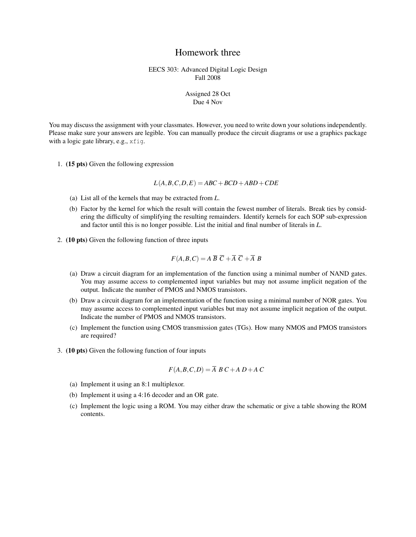## Homework three

## EECS 303: Advanced Digital Logic Design Fall 2008

## Assigned 28 Oct Due 4 Nov

You may discuss the assignment with your classmates. However, you need to write down your solutions independently. Please make sure your answers are legible. You can manually produce the circuit diagrams or use a graphics package with a logic gate library, e.g., xfig.

1. (15 pts) Given the following expression

 $L(A, B, C, D, E) = ABC + BCD + ABD + CDE$ 

- (a) List all of the kernels that may be extracted from *L*.
- (b) Factor by the kernel for which the result will contain the fewest number of literals. Break ties by considering the difficulty of simplifying the resulting remainders. Identify kernels for each SOP sub-expression and factor until this is no longer possible. List the initial and final number of literals in *L*.
- 2. (10 pts) Given the following function of three inputs

$$
F(A, B, C) = A \overline{B} \ \overline{C} + \overline{A} \ \overline{C} + \overline{A} \ B
$$

- (a) Draw a circuit diagram for an implementation of the function using a minimal number of NAND gates. You may assume access to complemented input variables but may not assume implicit negation of the output. Indicate the number of PMOS and NMOS transistors.
- (b) Draw a circuit diagram for an implementation of the function using a minimal number of NOR gates. You may assume access to complemented input variables but may not assume implicit negation of the output. Indicate the number of PMOS and NMOS transistors.
- (c) Implement the function using CMOS transmission gates (TGs). How many NMOS and PMOS transistors are required?
- 3. (10 pts) Given the following function of four inputs

$$
F(A, B, C, D) = \overline{A} B C + A D + A C
$$

- (a) Implement it using an 8:1 multiplexor.
- (b) Implement it using a 4:16 decoder and an OR gate.
- (c) Implement the logic using a ROM. You may either draw the schematic or give a table showing the ROM contents.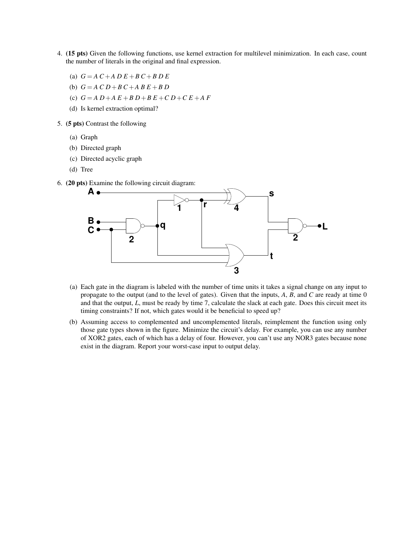- 4. (15 pts) Given the following functions, use kernel extraction for multilevel minimization. In each case, count the number of literals in the original and final expression.
	- (a) *G* = *A C* +*A D E* +*B C* +*B D E*
	- (b)  $G = A C D + B C + A B E + B D$
	- (c) *G* = *A D*+*A E* +*B D*+*B E* +*C D*+*C E* +*A F*
	- (d) Is kernel extraction optimal?
- 5. (5 pts) Contrast the following
	- (a) Graph
	- (b) Directed graph
	- (c) Directed acyclic graph
	- (d) Tree
- 6. (20 pts) Examine the following circuit diagram:



- (a) Each gate in the diagram is labeled with the number of time units it takes a signal change on any input to propagate to the output (and to the level of gates). Given that the inputs, *A*, *B*, and *C* are ready at time 0 and that the output, *L*, must be ready by time 7, calculate the slack at each gate. Does this circuit meet its timing constraints? If not, which gates would it be beneficial to speed up?
- (b) Assuming access to complemented and uncomplemented literals, reimplement the function using only those gate types shown in the figure. Minimize the circuit's delay. For example, you can use any number of XOR2 gates, each of which has a delay of four. However, you can't use any NOR3 gates because none exist in the diagram. Report your worst-case input to output delay.